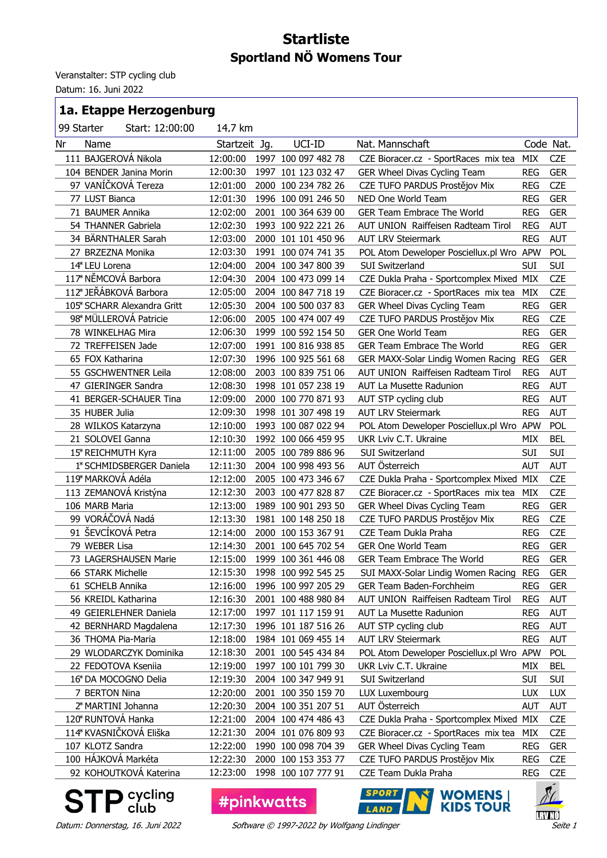## **Startliste Sportland NÖ Womens Tour**

Veranstalter: STP cycling club

Datum: 16. Juni 2022

## **1a. Etappe Herzogenburg**

| 99 Starter |                      | Start: 12:00:00             | 14,7 km       |      |                     |                                           |            |            |
|------------|----------------------|-----------------------------|---------------|------|---------------------|-------------------------------------------|------------|------------|
| Nr         | Name                 |                             | Startzeit Jg. |      | UCI-ID              | Nat. Mannschaft                           |            | Code Nat.  |
|            | 111 BAJGEROVÁ Nikola |                             | 12:00:00      |      | 1997 100 097 482 78 | CZE Bioracer.cz - SportRaces mix tea      | MIX        | <b>CZE</b> |
|            |                      | 104 BENDER Janina Morin     | 12:00:30      |      | 1997 101 123 032 47 | GER Wheel Divas Cycling Team              | <b>REG</b> | <b>GER</b> |
|            |                      | 97 VANÍČKOVÁ Tereza         | 12:01:00      |      | 2000 100 234 782 26 | CZE TUFO PARDUS Prostějov Mix             | <b>REG</b> | <b>CZE</b> |
|            | 77 LUST Bianca       |                             | 12:01:30      |      | 1996 100 091 246 50 | NED One World Team                        | <b>REG</b> | <b>GER</b> |
|            | 71 BAUMER Annika     |                             | 12:02:00      |      | 2001 100 364 639 00 | <b>GER Team Embrace The World</b>         | <b>REG</b> | <b>GER</b> |
|            | 54 THANNER Gabriela  |                             | 12:02:30      |      | 1993 100 922 221 26 | AUT UNION Raiffeisen Radteam Tirol        | <b>REG</b> | <b>AUT</b> |
|            |                      | 34 BÄRNTHALER Sarah         | 12:03:00      |      | 2000 101 101 450 96 | <b>AUT LRV Steiermark</b>                 | <b>REG</b> | <b>AUT</b> |
|            | 27 BRZEZNA Monika    |                             | 12:03:30      |      | 1991 100 074 741 35 | POL Atom Deweloper Posciellux.pl Wro APW  |            | <b>POL</b> |
|            | 14* LEU Lorena       |                             | 12:04:00      |      | 2004 100 347 800 39 | SUI Switzerland                           | <b>SUI</b> | <b>SUI</b> |
|            | 117* NĚMCOVÁ Barbora |                             | 12:04:30      |      | 2004 100 473 099 14 | CZE Dukla Praha - Sportcomplex Mixed MIX  |            | <b>CZE</b> |
|            |                      | 112* JEŘÁBKOVÁ Barbora      | 12:05:00      |      | 2004 100 847 718 19 | CZE Bioracer.cz - SportRaces mix tea      | MIX        | <b>CZE</b> |
|            |                      | 105* SCHARR Alexandra Gritt | 12:05:30      |      | 2004 100 500 037 83 | GER Wheel Divas Cycling Team              | <b>REG</b> | <b>GER</b> |
|            |                      | 98* MÜLLEROVÁ Patricie      | 12:06:00      |      | 2005 100 474 007 49 | CZE TUFO PARDUS Prostějov Mix             | <b>REG</b> | <b>CZE</b> |
|            | 78 WINKELHAG Mira    |                             | 12:06:30      |      | 1999 100 592 154 50 | <b>GER One World Team</b>                 | <b>REG</b> | <b>GER</b> |
|            | 72 TREFFEISEN Jade   |                             | 12:07:00      |      | 1991 100 816 938 85 | <b>GER Team Embrace The World</b>         | <b>REG</b> | <b>GER</b> |
|            | 65 FOX Katharina     |                             | 12:07:30      |      | 1996 100 925 561 68 | GER MAXX-Solar Lindig Women Racing        | <b>REG</b> | <b>GER</b> |
|            |                      | 55 GSCHWENTNER Leila        | 12:08:00      |      | 2003 100 839 751 06 | <b>AUT UNION Raiffeisen Radteam Tirol</b> | <b>REG</b> | <b>AUT</b> |
|            |                      | 47 GIERINGER Sandra         | 12:08:30      |      | 1998 101 057 238 19 | AUT La Musette Radunion                   | <b>REG</b> | <b>AUT</b> |
|            |                      | 41 BERGER-SCHAUER Tina      | 12:09:00      |      | 2000 100 770 871 93 | AUT STP cycling club                      | <b>REG</b> | <b>AUT</b> |
|            | 35 HUBER Julia       |                             | 12:09:30      |      | 1998 101 307 498 19 | <b>AUT LRV Steiermark</b>                 | <b>REG</b> | <b>AUT</b> |
|            | 28 WILKOS Katarzyna  |                             | 12:10:00      |      | 1993 100 087 022 94 | POL Atom Deweloper Posciellux.pl Wro APW  |            | POL        |
|            | 21 SOLOVEI Ganna     |                             | 12:10:30      |      | 1992 100 066 459 95 | UKR Lviv C.T. Ukraine                     | <b>MIX</b> | <b>BEL</b> |
|            | 15* REICHMUTH Kyra   |                             | 12:11:00      |      | 2005 100 789 886 96 | SUI Switzerland                           | <b>SUI</b> | <b>SUI</b> |
|            |                      | 1* SCHMIDSBERGER Daniela    | 12:11:30      |      | 2004 100 998 493 56 | AUT Österreich                            | <b>AUT</b> | <b>AUT</b> |
|            | 119* MARKOVÁ Adéla   |                             | 12:12:00      |      | 2005 100 473 346 67 | CZE Dukla Praha - Sportcomplex Mixed MIX  |            | <b>CZE</b> |
|            |                      | 113 ZEMANOVÁ Kristýna       | 12:12:30      |      | 2003 100 477 828 87 | CZE Bioracer.cz - SportRaces mix tea      | MIX        | <b>CZE</b> |
|            | 106 MARB Maria       |                             | 12:13:00      |      | 1989 100 901 293 50 | GER Wheel Divas Cycling Team              | <b>REG</b> | <b>GER</b> |
|            | 99 VORÁČOVÁ Nadá     |                             | 12:13:30      |      | 1981 100 148 250 18 | CZE TUFO PARDUS Prostějov Mix             | <b>REG</b> | <b>CZE</b> |
|            | 91 ŠEVCÍKOVÁ Petra   |                             | 12:14:00      |      | 2000 100 153 367 91 | CZE Team Dukla Praha                      | <b>REG</b> | <b>CZE</b> |
|            | 79 WEBER Lisa        |                             | 12:14:30      |      | 2001 100 645 702 54 | <b>GER One World Team</b>                 | <b>REG</b> | <b>GER</b> |
|            |                      | 73 LAGERSHAUSEN Marie       | 12:15:00      |      | 1999 100 361 446 08 | <b>GER Team Embrace The World</b>         | <b>REG</b> | <b>GER</b> |
|            | 66 STARK Michelle    |                             | 12:15:30      |      | 1998 100 992 545 25 | SUI MAXX-Solar Lindig Women Racing        | <b>REG</b> | <b>GER</b> |
|            | 61 SCHELB Annika     |                             | 12:16:00      |      | 1996 100 997 205 29 | GER Team Baden-Forchheim                  | <b>REG</b> | <b>GER</b> |
|            | 56 KREIDL Katharina  |                             | 12:16:30      |      | 2001 100 488 980 84 | AUT UNION Raiffeisen Radteam Tirol        | <b>REG</b> | <b>AUT</b> |
|            |                      | 49 GEIERLEHNER Daniela      | 12:17:00      |      | 1997 101 117 159 91 | AUT La Musette Radunion                   | <b>REG</b> | <b>AUT</b> |
|            |                      | 42 BERNHARD Magdalena       | 12:17:30      |      | 1996 101 187 516 26 | AUT STP cycling club                      | <b>REG</b> | <b>AUT</b> |
|            | 36 THOMA Pia-Maria   |                             | 12:18:00      |      | 1984 101 069 455 14 | <b>AUT LRV Steiermark</b>                 | <b>REG</b> | AUT        |
|            |                      | 29 WLODARCZYK Dominika      | 12:18:30      |      | 2001 100 545 434 84 | POL Atom Deweloper Posciellux.pl Wro APW  |            | <b>POL</b> |
|            | 22 FEDOTOVA Ksenija  |                             | 12:19:00      | 1997 | 100 101 799 30      | UKR Lviv C.T. Ukraine                     | MIX        | <b>BEL</b> |
|            |                      | 16* DA MOCOGNO Delia        | 12:19:30      |      | 2004 100 347 949 91 | SUI Switzerland                           | <b>SUI</b> | <b>SUI</b> |
|            | 7 BERTON Nina        |                             | 12:20:00      |      | 2001 100 350 159 70 | LUX Luxembourg                            | <b>LUX</b> | <b>LUX</b> |
|            | 2* MARTINI Johanna   |                             | 12:20:30      |      | 2004 100 351 207 51 | AUT Österreich                            | <b>AUT</b> | AUT        |
|            | 120* RUNTOVÁ Hanka   |                             | 12:21:00      |      | 2004 100 474 486 43 | CZE Dukla Praha - Sportcomplex Mixed MIX  |            | <b>CZE</b> |
|            |                      | 114* KVASNIČKOVÁ Eliška     | 12:21:30      |      | 2004 101 076 809 93 | CZE Bioracer.cz - SportRaces mix tea      | MIX        | <b>CZE</b> |
|            | 107 KLOTZ Sandra     |                             | 12:22:00      |      | 1990 100 098 704 39 | GER Wheel Divas Cycling Team              | <b>REG</b> | <b>GER</b> |
|            | 100 HÁJKOVÁ Markéta  |                             | 12:22:30      |      | 2000 100 153 353 77 | CZE TUFO PARDUS Prostějov Mix             | <b>REG</b> | <b>CZE</b> |
|            |                      | 92 KOHOUTKOVÁ Katerina      | 12:23:00      |      | 1998 100 107 777 91 | CZE Team Dukla Praha                      | <b>REG</b> | <b>CZE</b> |

 $\sum_{\text{club}}$ S

**#pinkwatts** 





Datum: Donnerstag, 16. Juni 2022 Software © 1997-2022 by Wolfgang Lindinger